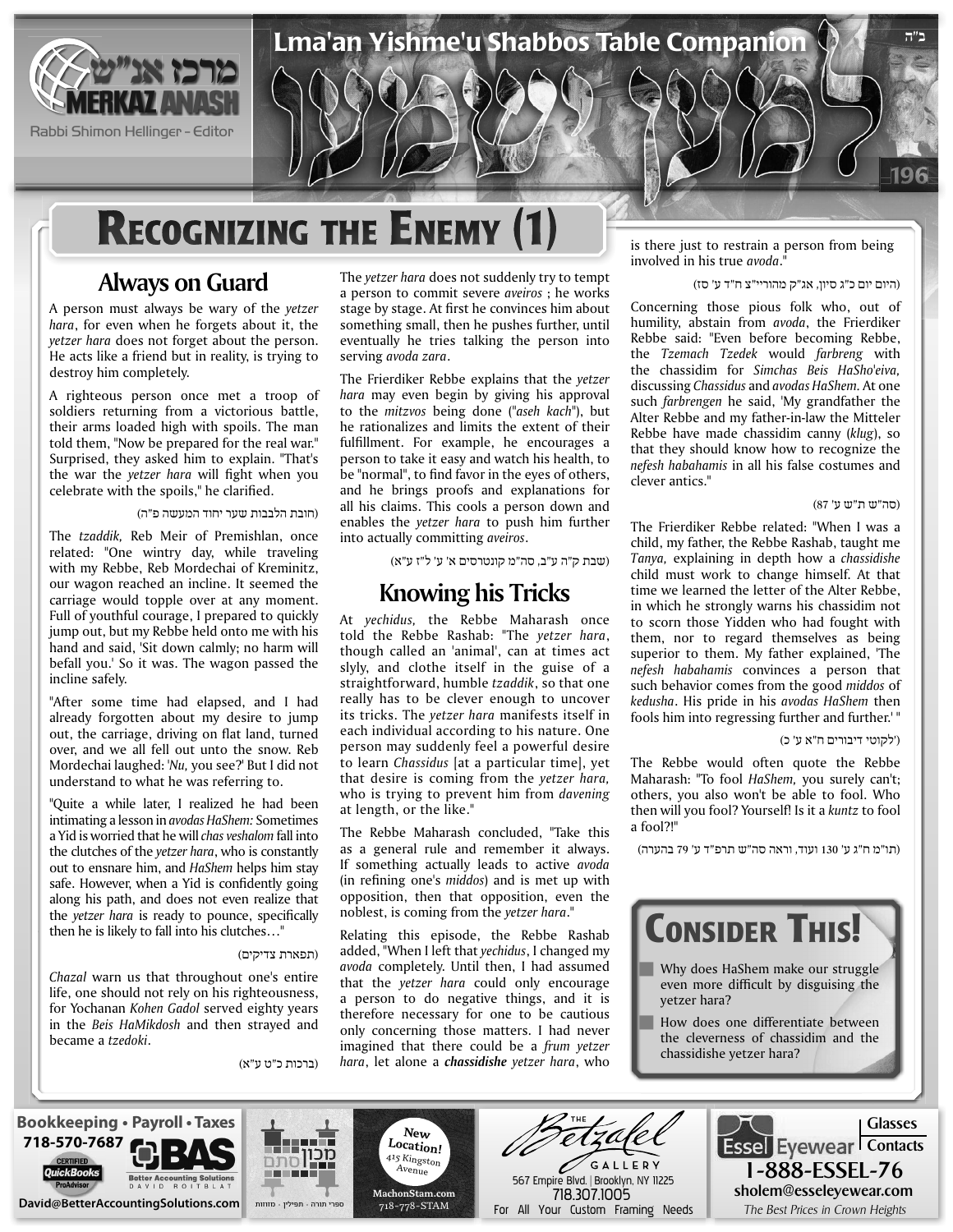

Rabbi Shimon Hellinger - Editor

# **RECOGNIZING THE ENEMY (1)**

### **Always on Guard**

A person must always be wary of the yetzer hara, for even when he forgets about it, the *vetzer hara does not forget about the person.* He acts like a friend but in reality, is trying to destroy him completely.

A righteous person once met a troop of soldiers returning from a victorious battle, their arms loaded high with spoils. The man told them, "Now be prepared for the real war." Surprised, they asked him to explain. "That's the war the *yetzer hara* will fight when you celebrate with the spoils," he clarified.

(חובת הלבבות שער יחוד המעשה פ"ה)

The tzaddik, Reb Meir of Premishlan, once related: "One wintry day, while traveling with my Rebbe, Reb Mordechai of Kreminitz, our wagon reached an incline. It seemed the carriage would topple over at any moment. Full of youthful courage, I prepared to quickly jump out, but my Rebbe held onto me with his hand and said, 'Sit down calmly; no harm will befall you.' So it was. The wagon passed the incline safely.

"After some time had elapsed, and I had already forgotten about my desire to jump out, the carriage, driving on flat land, turned over, and we all fell out unto the snow. Reb Mordechai laughed: 'Nu, you see?' But I did not understand to what he was referring to.

"Quite a while later, I realized he had been intimating a lesson in *avodas HaShem:* Sometimes a Yid is worried that he will *chas veshalom* fall into the clutches of the *yetzer hara*, who is constantly out to ensnare him, and *HaShem* helps him stay safe. However, when a Yid is confidently going along his path, and does not even realize that the *yetzer hara* is ready to pounce, specifically then he is likely to fall into his clutches..."

#### (תפארת צדיקים)

Chazal warn us that throughout one's entire life, one should not rely on his righteousness, for Yochanan Kohen Gadol served eighty years in the Beis HaMikdosh and then strayed and became a *tzedoki*.

(ברכות כ"ט ע"א)

The *yetzer hara* does not suddenly try to tempt a person to commit severe *aveiros* ; he works stage by stage. At first he convinces him about something small, then he pushes further, until eventually he tries talking the person into serving avoda zara.

Lma'an Yishme'u Shabbos Table Companion

The Frierdiker Rebbe explains that the *yetzer* hara may even begin by giving his approval to the *mitzvos* being done ("aseh kach"), but he rationalizes and limits the extent of their fulfillment. For example, he encourages a person to take it easy and watch his health, to be "normal", to find favor in the eyes of others, and he brings proofs and explanations for all his claims. This cools a person down and enables the yetzer hara to push him further into actually committing *aveiros*.

(שבת ק"ה ע"ב, סה"מ קונטרסים א' ע' ל"ז ע"א)

### **Knowing his Tricks**

At *yechidus*, the Rebbe Maharash once told the Rebbe Rashab: "The yetzer hara, though called an 'animal', can at times act slyly, and clothe itself in the guise of a straightforward, humble tzaddik, so that one really has to be clever enough to uncover its tricks. The *vetzer hara* manifests itself in each individual according to his nature. One person may suddenly feel a powerful desire to learn *Chassidus* [at a particular time], yet that desire is coming from the *yetzer hara*, who is trying to prevent him from davening at length, or the like."

The Rebbe Maharash concluded, "Take this as a general rule and remember it always. If something actually leads to active avoda (in refining one's *middos*) and is met up with opposition, then that opposition, even the noblest, is coming from the *yetzer* hara."

Relating this episode, the Rebbe Rashab added, "When I left that *yechidus*, I changed my avoda completely. Until then, I had assumed that the *yetzer* hara could only encourage a person to do negative things, and it is therefore necessary for one to be cautious only concerning those matters. I had never *imagined that there could be a frum yetzer* hara, let alone a *chassidishe yetzer hara*, who is there just to restrain a person from being involved in his true avoda."

(היום יום כ"ג סיון, אג"ק מהוריי"צ ח"ד ע' סז)

Concerning those pious folk who, out of humility, abstain from avoda, the Frierdiker Rebbe said: "Even before becoming Rebbe, the *Tzemach Tzedek* would *farbreng* with the chassidim for Simchas Beis HaSho'eiva, discussing *Chassidus* and *avodas HaShem*. At one such farbrengen he said, 'My grandfather the Alter Rebbe and my father-in-law the Mitteler Rebbe have made chassidim canny (klug), so that they should know how to recognize the nefesh habahamis in all his false costumes and clever antics "

#### (סה"ש ת"ש ע' 87)

196

**ב"ה**

The Frierdiker Rebbe related: "When I was a child, my father, the Rebbe Rashab, taught me *Tanya*, explaining in depth how a *chassidishe* child must work to change himself. At that time we learned the letter of the Alter Rebbe, in which he strongly warns his chassidim not to scorn those Yidden who had fought with them, nor to regard themselves as being superior to them. My father explained, 'The nefesh habahamis convinces a person that such behavior comes from the good middos of *kedusha*. His pride in his avodas HaShem then fools him into regressing further and further.'"

#### ('לקוטי דיבורים ח"א ע' כ)

The Rebbe would often quote the Rebbe Maharash: "To fool HaShem, you surely can't; others, you also won't be able to fool. Who then will you fool? Yourself! Is it a kuntz to fool a fool?!"

(תו"מ ח"ג ע' 130 ועוד, וראה סה"ש תרפ"ד ע' 79 בהערה)



**Bookkeeping • Payroll • Taxes** *L***ocation! Essel** Eyewear Contacts **718-570-7687** מכוו 415 Kingston GALLERY  $A$ venue 1-888-ESSEL-76 567 Empire Blvd. | Brooklyn, NY 11225 sholem@esseleyewear.com **com.MachonStam** 718.307.1005 **come of the SetterAccountingSolutions.com come and the ends of the Prices in Crown Heights Crown Heights Crown in Prices Best Prices Best Prices in Crown Heights** ספרי תורה תפילין מזוזות 718-778-STAM